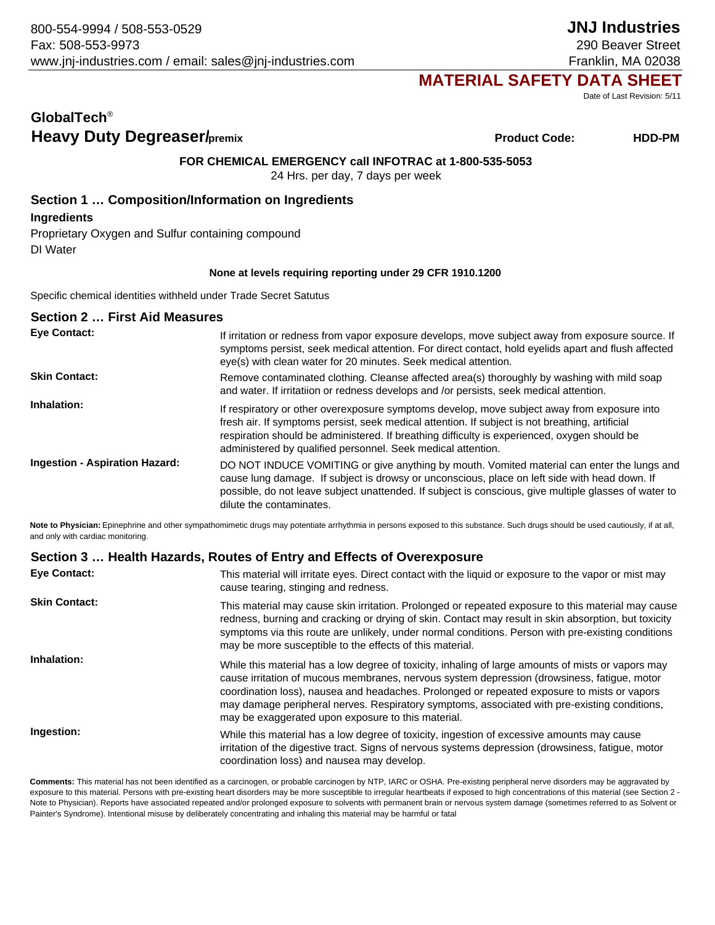# **MATERIAL SAFETY DATA SHEET**

Date of Last Revision: 5/11

# **GlobalTech**® **Heavy Duty Degreaser/**premix **Heavy Duty Degreaser/premix HDD-PM**

**Product Code:**

**FOR CHEMICAL EMERGENCY call INFOTRAC at 1-800-535-5053**

24 Hrs. per day, 7 days per week

## **Section 1 … Composition/Information on Ingredients**

**Ingredients**

Proprietary Oxygen and Sulfur containing compound DI Water

#### **None at levels requiring reporting under 29 CFR 1910.1200**

Specific chemical identities withheld under Trade Secret Satutus

| <b>Section 2  First Aid Measures</b>  |                                                                                                                                                                                                                                                                                                                                                                |
|---------------------------------------|----------------------------------------------------------------------------------------------------------------------------------------------------------------------------------------------------------------------------------------------------------------------------------------------------------------------------------------------------------------|
| <b>Eye Contact:</b>                   | If irritation or redness from vapor exposure develops, move subject away from exposure source. If<br>symptoms persist, seek medical attention. For direct contact, hold eyelids apart and flush affected<br>eye(s) with clean water for 20 minutes. Seek medical attention.                                                                                    |
| <b>Skin Contact:</b>                  | Remove contaminated clothing. Cleanse affected area(s) thoroughly by washing with mild soap<br>and water. If irritatiion or redness develops and /or persists, seek medical attention.                                                                                                                                                                         |
| Inhalation:                           | If respiratory or other overexposure symptoms develop, move subject away from exposure into<br>fresh air. If symptoms persist, seek medical attention. If subject is not breathing, artificial<br>respiration should be administered. If breathing difficulty is experienced, oxygen should be<br>administered by qualified personnel. Seek medical attention. |
| <b>Ingestion - Aspiration Hazard:</b> | DO NOT INDUCE VOMITING or give anything by mouth. Vomited material can enter the lungs and<br>cause lung damage. If subject is drowsy or unconscious, place on left side with head down. If<br>possible, do not leave subject unattended. If subject is conscious, give multiple glasses of water to<br>dilute the contaminates.                               |

Note to Physician: Epinephrine and other sympathomimetic drugs may potentiate arrhythmia in persons exposed to this substance. Such drugs should be used cautiously, if at all, and only with cardiac monitoring.

### **Section 3 … Health Hazards, Routes of Entry and Effects of Overexposure**

| <b>Eye Contact:</b>  | This material will irritate eyes. Direct contact with the liquid or exposure to the vapor or mist may<br>cause tearing, stinging and redness.                                                                                                                                                                                                                                                                                                          |
|----------------------|--------------------------------------------------------------------------------------------------------------------------------------------------------------------------------------------------------------------------------------------------------------------------------------------------------------------------------------------------------------------------------------------------------------------------------------------------------|
| <b>Skin Contact:</b> | This material may cause skin irritation. Prolonged or repeated exposure to this material may cause<br>redness, burning and cracking or drying of skin. Contact may result in skin absorption, but toxicity<br>symptoms via this route are unlikely, under normal conditions. Person with pre-existing conditions<br>may be more susceptible to the effects of this material.                                                                           |
| Inhalation:          | While this material has a low degree of toxicity, inhaling of large amounts of mists or vapors may<br>cause irritation of mucous membranes, nervous system depression (drowsiness, fatique, motor<br>coordination loss), nausea and headaches. Prolonged or repeated exposure to mists or vapors<br>may damage peripheral nerves. Respiratory symptoms, associated with pre-existing conditions,<br>may be exaggerated upon exposure to this material. |
| Ingestion:           | While this material has a low degree of toxicity, ingestion of excessive amounts may cause<br>irritation of the digestive tract. Signs of nervous systems depression (drowsiness, fatigue, motor<br>coordination loss) and nausea may develop.                                                                                                                                                                                                         |

**Comments:** This material has not been identified as a carcinogen, or probable carcinogen by NTP, IARC or OSHA. Pre-existing peripheral nerve disorders may be aggravated by exposure to this material. Persons with pre-existing heart disorders may be more susceptible to irregular heartbeats if exposed to high concentrations of this material (see Section 2 -Note to Physician). Reports have associated repeated and/or prolonged exposure to solvents with permanent brain or nervous system damage (sometimes referred to as Solvent or Painter's Syndrome). Intentional misuse by deliberately concentrating and inhaling this material may be harmful or fatal

## **JNJ Industries** 290 Beaver Street

Franklin, MA 02038